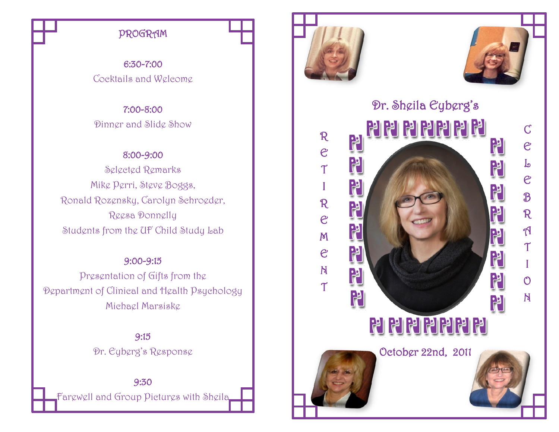## PROGRAM

6:30 -7:00 Cocktails and Welcome

7:00 -8:00 Dinner and Slide Show

## 8:00 -9:00

Selected Remarks Mike Perri, Steve Boggs, Ronald Rozensky, Carolyn Schroeder, Reesa Donnelly Students from the UF Child Study Lab

## 9:00 -9:15

Presentation of Gifts from the Department of Clinical and Health Psychology Michael Marsiske

> 9:15 Dr. Eyberg's Response

9:30